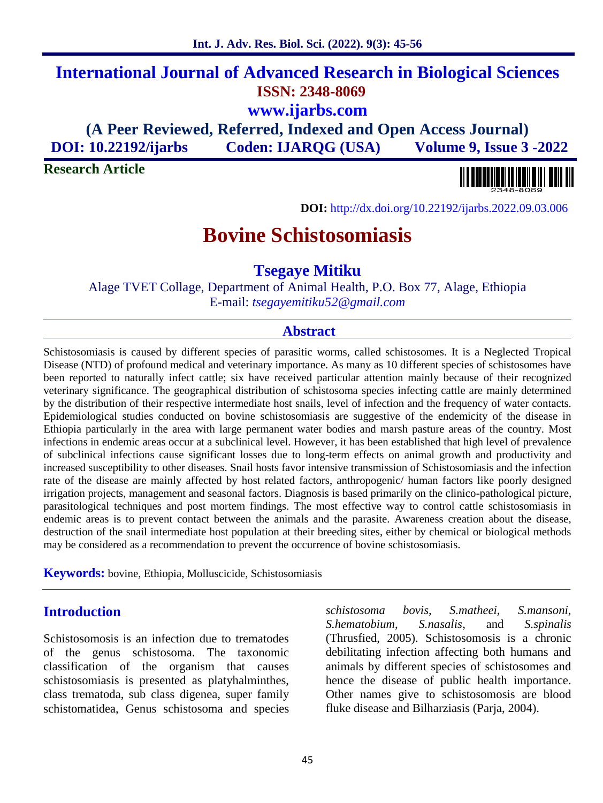# **International Journal of Advanced Research in Biological Sciences ISSN: 2348-8069 www.ijarbs.com (A Peer Reviewed, Referred, Indexed and Open Access Journal)**

**DOI: 10.22192/ijarbs Coden: IJARQG (USA) Volume 9, Issue 3 -2022**

**Research Article**



**DOI:** http://dx.doi.org/10.22192/ijarbs.2022.09.03.006

# **Bovine Schistosomiasis**

**Tsegaye Mitiku**

Alage TVET Collage, Department of Animal Health, P.O. Box 77, Alage, Ethiopia E-mail: *tsegayemitiku52@gmail.com*

#### **Abstract**

Schistosomiasis is caused by different species of parasitic worms, called schistosomes. It is a Neglected Tropical Disease (NTD) of profound medical and veterinary importance. As many as 10 different species of schistosomes have been reported to naturally infect cattle; six have received particular attention mainly because of their recognized veterinary significance. The geographical distribution of schistosoma species infecting cattle are mainly determined by the distribution of their respective intermediate host snails, level of infection and the frequency of water contacts. Epidemiological studies conducted on bovine schistosomiasis are suggestive of the endemicity of the disease in Ethiopia particularly in the area with large permanent water bodies and marsh pasture areas of the country. Most infections in endemic areas occur at a subclinical level. However, it has been established that high level of prevalence of subclinical infections cause significant losses due to long-term effects on animal growth and productivity and increased susceptibility to other diseases. Snail hosts favor intensive transmission of Schistosomiasis and the infection rate of the disease are mainly affected by host related factors, anthropogenic/ human factors like poorly designed irrigation projects, management and seasonal factors. Diagnosis is based primarily on the clinico-pathological picture, parasitological techniques and post mortem findings. The most effective way to control cattle schistosomiasis in endemic areas is to prevent contact between the animals and the parasite. Awareness creation about the disease, destruction of the snail intermediate host population at their breeding sites, either by chemical or biological methods may be considered as a recommendation to prevent the occurrence of bovine schistosomiasis.

**Keywords:** bovine, Ethiopia, Molluscicide, Schistosomiasis

# **Introduction**

Schistosomosis is an infection due to trematodes of the genus schistosoma. The taxonomic classification of the organism that causes schistosomiasis is presented as platyhalminthes, class trematoda, sub class digenea, super family schistomatidea, Genus schistosoma and species *schistosoma bovis, S.matheei, S.mansoni, S.hematobium, S.nasalis*, and *S.spinalis* (Thrusfied, 2005). Schistosomosis is a chronic debilitating infection affecting both humans and animals by different species of schistosomes and hence the disease of public health importance. Other names give to schistosomosis are blood fluke disease and Bilharziasis (Parja, 2004).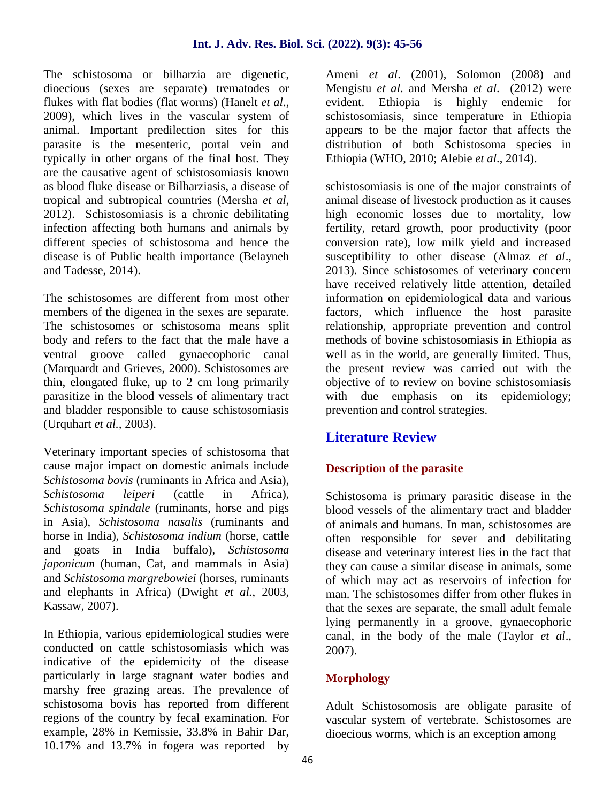The schistosoma or bilharzia are digenetic, dioecious (sexes are separate) trematodes or flukes with flat bodies (flat worms) (Hanelt *et al*., 2009), which lives in the vascular system of animal. Important predilection sites for this parasite is the mesenteric, portal vein and typically in other organs of the final host. They are the causative agent of schistosomiasis known as blood fluke disease or Bilharziasis, a disease of tropical and subtropical countries (Mersha *et al,* 2012). Schistosomiasis is a chronic debilitating infection affecting both humans and animals by different species of schistosoma and hence the disease is of Public health importance (Belayneh and Tadesse, 2014).

The schistosomes are different from most other members of the digenea in the sexes are separate. The schistosomes or schistosoma means split body and refers to the fact that the male have a ventral groove called gynaecophoric canal (Marquardt and Grieves, 2000). Schistosomes are thin, elongated fluke, up to 2 cm long primarily parasitize in the blood vessels of alimentary tract and bladder responsible to cause schistosomiasis (Urquhart *et al.,* 2003).

Veterinary important species of schistosoma that cause major impact on domestic animals include *Schistosoma bovis* (ruminants in Africa and Asia), *Schistosoma leiperi* (cattle in Africa), *Schistosoma spindale* (ruminants, horse and pigs in Asia), *Schistosoma nasalis* (ruminants and horse in India), *Schistosoma indium* (horse, cattle and goats in India buffalo), *Schistosoma japonicum* (human, Cat, and mammals in Asia) and *Schistosoma margrebowiei* (horses, ruminants and elephants in Africa) (Dwight *et al.*, 2003, Kassaw, 2007).

In Ethiopia, various epidemiological studies were conducted on cattle schistosomiasis which was indicative of the epidemicity of the disease particularly in large stagnant water bodies and marshy free grazing areas. The prevalence of schistosoma bovis has reported from different regions of the country by fecal examination. For example, 28% in Kemissie, 33.8% in Bahir Dar, 10.17% and 13.7% in fogera was reported by

Ameni *et al*. (2001), Solomon (2008) and Mengistu *et al*. and Mersha *et al*. (2012) were evident. Ethiopia is highly endemic for schistosomiasis, since temperature in Ethiopia appears to be the major factor that affects the distribution of both Schistosoma species in Ethiopia (WHO, 2010; Alebie *et al*., 2014).

schistosomiasis is one of the major constraints of animal disease of livestock production as it causes high economic losses due to mortality, low fertility, retard growth, poor productivity (poor conversion rate), low milk yield and increased susceptibility to other disease (Almaz *et al*., 2013). Since schistosomes of veterinary concern have received relatively little attention, detailed information on epidemiological data and various factors, which influence the host parasite relationship, appropriate prevention and control methods of bovine schistosomiasis in Ethiopia as well as in the world, are generally limited. Thus, the present review was carried out with the objective of to review on bovine schistosomiasis with due emphasis on its epidemiology; prevention and control strategies.

# **Literature Review**

# **Description of the parasite**

Schistosoma is primary parasitic disease in the blood vessels of the alimentary tract and bladder of animals and humans. In man, schistosomes are often responsible for sever and debilitating disease and veterinary interest lies in the fact that they can cause a similar disease in animals, some of which may act as reservoirs of infection for man. The schistosomes differ from other flukes in that the sexes are separate, the small adult female lying permanently in a groove, gynaecophoric canal, in the body of the male (Taylor *et al*., 2007).

# **Morphology**

Adult Schistosomosis are obligate parasite of vascular system of vertebrate. Schistosomes are dioecious worms, which is an exception among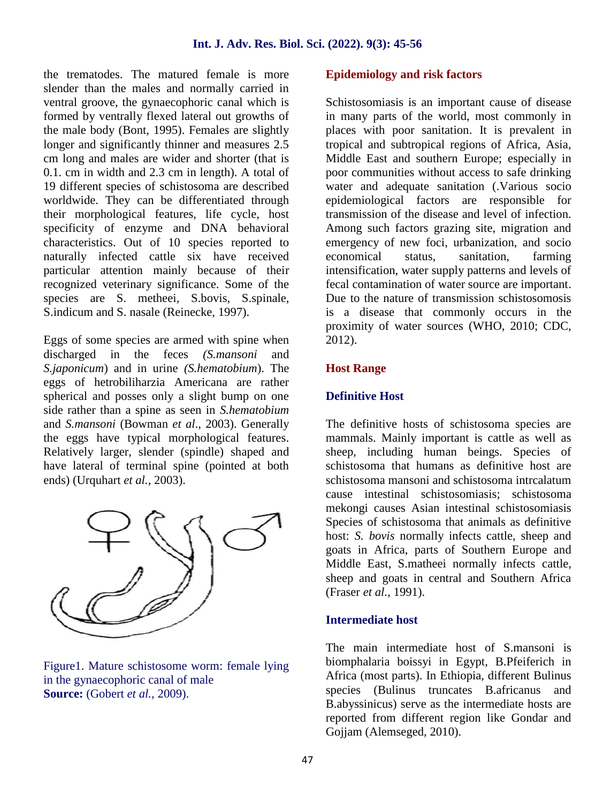the trematodes. The matured female is more slender than the males and normally carried in ventral groove, the gynaecophoric canal which is formed by ventrally flexed lateral out growths of the male body (Bont, 1995). Females are slightly longer and significantly thinner and measures 2.5 cm long and males are wider and shorter (that is 0.1. cm in width and 2.3 cm in length). A total of 19 different species of schistosoma are described worldwide. They can be differentiated through their morphological features, life cycle, host specificity of enzyme and DNA behavioral characteristics. Out of 10 species reported to naturally infected cattle six have received particular attention mainly because of their recognized veterinary significance. Some of the species are S. metheei, S.bovis, S.spinale, S.indicum and S. nasale (Reinecke, 1997).

Eggs of some species are armed with spine when discharged in the feces *(S.mansoni* and *S.japonicum*) and in urine *(S.hematobium*). The eggs of hetrobiliharzia Americana are rather spherical and posses only a slight bump on one side rather than a spine as seen in *S.hematobium* and *S.mansoni* (Bowman *et al*., 2003). Generally the eggs have typical morphological features. Relatively larger, slender (spindle) shaped and have lateral of terminal spine (pointed at both ends) (Urquhart *et al.*, 2003).



Figure1. Mature schistosome worm: female lying in the gynaecophoric canal of male **Source:** (Gobert *et al.,* 2009).

#### **Epidemiology and risk factors**

Schistosomiasis is an important cause of disease in many parts of the world, most commonly in places with poor sanitation. It is prevalent in tropical and subtropical regions of Africa, Asia, Middle East and southern Europe; especially in poor communities without access to safe drinking water and adequate sanitation (.Various socio epidemiological factors are responsible for transmission of the disease and level of infection. Among such factors grazing site, migration and emergency of new foci, urbanization, and socio economical status, sanitation, farming intensification, water supply patterns and levels of fecal contamination of water source are important. Due to the nature of transmission schistosomosis is a disease that commonly occurs in the proximity of water sources (WHO, 2010; CDC, 2012).

#### **Host Range**

#### **Definitive Host**

The definitive hosts of schistosoma species are mammals. Mainly important is cattle as well as sheep, including human beings. Species of schistosoma that humans as definitive host are schistosoma mansoni and schistosoma intrcalatum cause intestinal schistosomiasis; schistosoma mekongi causes Asian intestinal schistosomiasis Species of schistosoma that animals as definitive host: *S. bovis* normally infects cattle, sheep and goats in Africa, parts of Southern Europe and Middle East, S.matheei normally infects cattle, sheep and goats in central and Southern Africa (Fraser *et al.,* 1991).

#### **Intermediate host**

The main intermediate host of S.mansoni is biomphalaria boissyi in Egypt, B.Pfeiferich in Africa (most parts). In Ethiopia, different Bulinus species (Bulinus truncates B.africanus and B.abyssinicus) serve as the intermediate hosts are reported from different region like Gondar and Gojjam (Alemseged, 2010).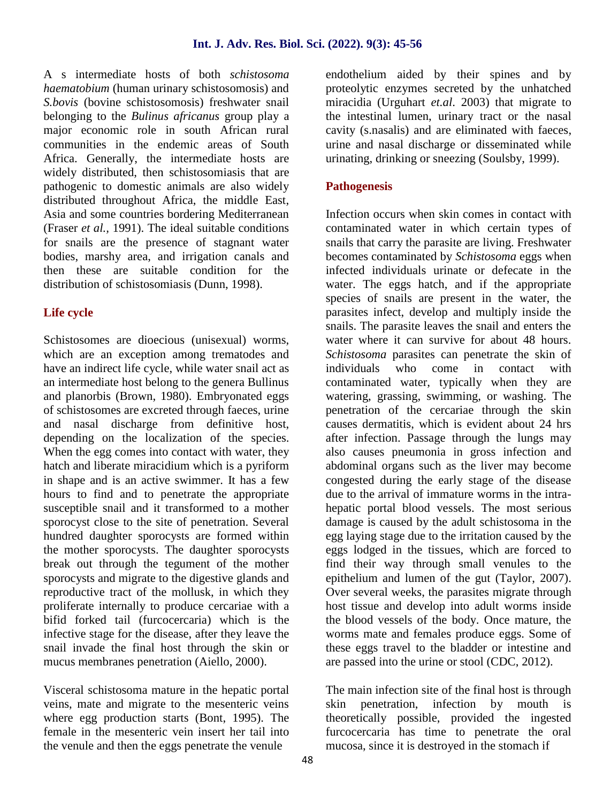A s intermediate hosts of both *schistosoma haematobium* (human urinary schistosomosis) and *S.bovis* (bovine schistosomosis) freshwater snail belonging to the *Bulinus africanus* group play a major economic role in south African rural communities in the endemic areas of South Africa. Generally, the intermediate hosts are widely distributed, then schistosomiasis that are pathogenic to domestic animals are also widely distributed throughout Africa, the middle East, Asia and some countries bordering Mediterranean (Fraser *et al.,* 1991). The ideal suitable conditions for snails are the presence of stagnant water bodies, marshy area, and irrigation canals and then these are suitable condition for the distribution of schistosomiasis (Dunn, 1998).

### **Life cycle**

Schistosomes are dioecious (unisexual) worms, which are an exception among trematodes and have an indirect life cycle, while water snail act as an intermediate host belong to the genera Bullinus and planorbis (Brown, 1980). Embryonated eggs of schistosomes are excreted through faeces, urine and nasal discharge from definitive host, depending on the localization of the species. When the egg comes into contact with water, they hatch and liberate miracidium which is a pyriform in shape and is an active swimmer. It has a few hours to find and to penetrate the appropriate susceptible snail and it transformed to a mother sporocyst close to the site of penetration. Several hundred daughter sporocysts are formed within the mother sporocysts. The daughter sporocysts break out through the tegument of the mother sporocysts and migrate to the digestive glands and reproductive tract of the mollusk, in which they proliferate internally to produce cercariae with a bifid forked tail (furcocercaria) which is the infective stage for the disease, after they leave the snail invade the final host through the skin or mucus membranes penetration (Aiello, 2000).

Visceral schistosoma mature in the hepatic portal veins, mate and migrate to the mesenteric veins where egg production starts (Bont, 1995). The female in the mesenteric vein insert her tail into the venule and then the eggs penetrate the venule

endothelium aided by their spines and by proteolytic enzymes secreted by the unhatched miracidia (Urguhart *et.al*. 2003) that migrate to the intestinal lumen, urinary tract or the nasal cavity (s.nasalis) and are eliminated with faeces, urine and nasal discharge or disseminated while urinating, drinking or sneezing (Soulsby, 1999).

#### **Pathogenesis**

Infection occurs when skin comes in contact with contaminated water in which certain types of snails that carry the parasite are living. Freshwater becomes contaminated by *Schistosoma* eggs when infected individuals urinate or defecate in the water. The eggs hatch, and if the appropriate species of snails are present in the water, the parasites infect, develop and multiply inside the snails. The parasite leaves the snail and enters the water where it can survive for about 48 hours. *Schistosoma* parasites can penetrate the skin of individuals who come in contact with contaminated water, typically when they are watering, grassing, swimming, or washing. The penetration of the cercariae through the skin causes dermatitis, which is evident about 24 hrs after infection. Passage through the lungs may also causes pneumonia in gross infection and abdominal organs such as the liver may become congested during the early stage of the disease due to the arrival of immature worms in the intra hepatic portal blood vessels. The most serious damage is caused by the adult schistosoma in the egg laying stage due to the irritation caused by the eggs lodged in the tissues, which are forced to find their way through small venules to the epithelium and lumen of the gut (Taylor, 2007). Over several weeks, the parasites migrate through host tissue and develop into adult worms inside the blood vessels of the body. Once mature, the worms mate and females produce eggs. Some of these eggs travel to the bladder or intestine and are passed into the urine or stool (CDC, 2012).

The main infection site of the final host is through skin penetration, infection by mouth is theoretically possible, provided the ingested furcocercaria has time to penetrate the oral mucosa, since it is destroyed in the stomach if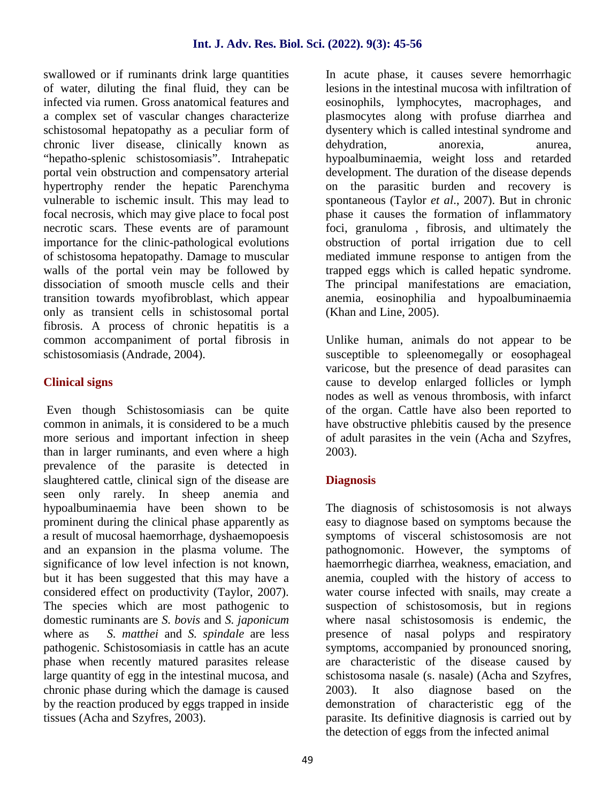swallowed or if ruminants drink large quantities of water, diluting the final fluid, they can be infected via rumen. Gross anatomical features and a complex set of vascular changes characterize schistosomal hepatopathy as a peculiar form of chronic liver disease, clinically known as "hepatho-splenic schistosomiasis". Intrahepatic portal vein obstruction and compensatory arterial hypertrophy render the hepatic Parenchyma vulnerable to ischemic insult. This may lead to focal necrosis, which may give place to focal post necrotic scars. These events are of paramount importance for the clinic-pathological evolutions of schistosoma hepatopathy. Damage to muscular walls of the portal vein may be followed by dissociation of smooth muscle cells and their transition towards myofibroblast, which appear only as transient cells in schistosomal portal fibrosis. A process of chronic hepatitis is a common accompaniment of portal fibrosis in schistosomiasis (Andrade, 2004).

### **Clinical signs**

Even though Schistosomiasis can be quite common in animals, it is considered to be a much more serious and important infection in sheep than in larger ruminants, and even where a high prevalence of the parasite is detected in slaughtered cattle, clinical sign of the disease are seen only rarely. In sheep anemia and hypoalbuminaemia have been shown to be prominent during the clinical phase apparently as a result of mucosal haemorrhage, dyshaemopoesis and an expansion in the plasma volume. The significance of low level infection is not known, but it has been suggested that this may have a considered effect on productivity (Taylor, 2007). The species which are most pathogenic to domestic ruminants are *S. bovis* and *S. japonicum* where as *S. matthei* and *S. spindale* are less pathogenic. Schistosomiasis in cattle has an acute phase when recently matured parasites release large quantity of egg in the intestinal mucosa, and chronic phase during which the damage is caused by the reaction produced by eggs trapped in inside tissues (Acha and Szyfres, 2003).

In acute phase, it causes severe hemorrhagic lesions in the intestinal mucosa with infiltration of eosinophils, lymphocytes, macrophages, and plasmocytes along with profuse diarrhea and dysentery which is called intestinal syndrome and dehydration, anorexia, anurea, hypoalbuminaemia, weight loss and retarded development. The duration of the disease depends on the parasitic burden and recovery is spontaneous (Taylor *et al*., 2007). But in chronic phase it causes the formation of inflammatory foci, granuloma , fibrosis, and ultimately the obstruction of portal irrigation due to cell mediated immune response to antigen from the trapped eggs which is called hepatic syndrome. The principal manifestations are emaciation, anemia, eosinophilia and hypoalbuminaemia (Khan and Line, 2005).

Unlike human, animals do not appear to be susceptible to spleenomegally or eosophageal varicose, but the presence of dead parasites can cause to develop enlarged follicles or lymph nodes as well as venous thrombosis, with infarct of the organ. Cattle have also been reported to have obstructive phlebitis caused by the presence of adult parasites in the vein (Acha and Szyfres, 2003).

# **Diagnosis**

The diagnosis of schistosomosis is not always easy to diagnose based on symptoms because the symptoms of visceral schistosomosis are not pathognomonic. However, the symptoms of haemorrhegic diarrhea, weakness, emaciation, and anemia, coupled with the history of access to water course infected with snails, may create a suspection of schistosomosis, but in regions where nasal schistosomosis is endemic, the presence of nasal polyps and respiratory symptoms, accompanied by pronounced snoring, are characteristic of the disease caused by schistosoma nasale (s. nasale) (Acha and Szyfres, 2003). It also diagnose based on the demonstration of characteristic egg of the parasite. Its definitive diagnosis is carried out by the detection of eggs from the infected animal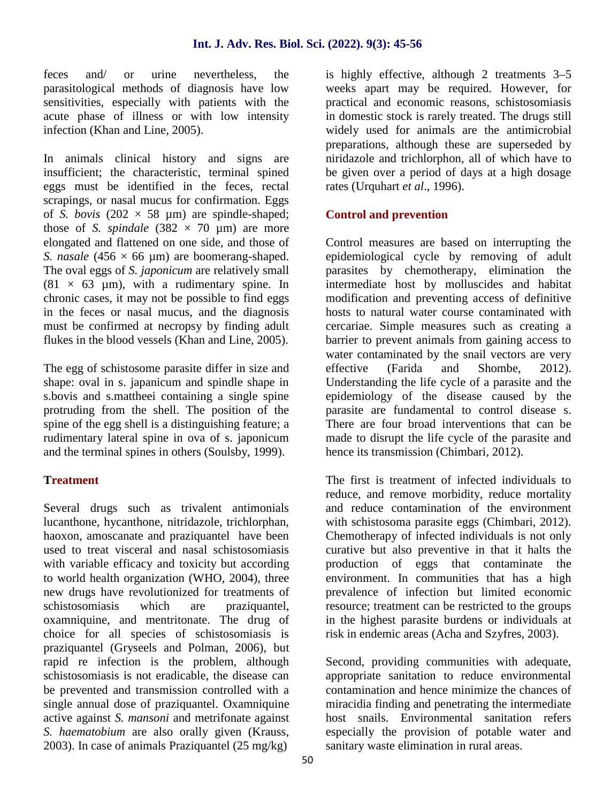feces and/ or urine nevertheless, the parasitological methods of diagnosis have low sensitivities, especially with patients with the acute phase of illness or with low intensity infection (Khan and Line, 2005).

In animals clinical history and signs are insufficient; the characteristic, terminal spined eggs must be identified in the feces, rectal scrapings, or nasal mucus for confirmation. Eggs of *S. bovis* (202  $\times$  58 µm) are spindle-shaped; those of *S. spindale*  $(382 \times 70 \text{ µm})$  are more elongated and flattened on one side, and those of *S. nasale* (456  $\times$  66 µm) are boomerang-shaped. The oval eggs of *S. japonicum* are relatively small  $(81 \times 63 \mu m)$ , with a rudimentary spine. In chronic cases, it may not be possible to find eggs in the feces or nasal mucus, and the diagnosis must be confirmed at necropsy by finding adult flukes in the blood vessels (Khan and Line, 2005).

The egg of schistosome parasite differ in size and effective shape: oval in s. japanicum and spindle shape in s.bovis and s.mattheei containing a single spine protruding from the shell. The position of the spine of the egg shell is a distinguishing feature a rudimentary lateral spine in ova of s. japonicum and the terminal spines in others (Soulsby, 1999).

#### **Treatment**

Several drugs such as trivalent antimonials lucanthone, hycanthone, nitridazole, trichlorphan, haoxon, amoscanate and praziquantel have been used to treat visceral and nasal schistosomiasis with variable efficacy and toxicity but according to world health organization (WHO, 2004), three new drugs have revolutionized for treatments of schistosomiasis which are praziquantel, oxamniquine, and mentritonate. The drug of choice for all species of schistosomiasis is praziquantel (Gryseels and Polman, 2006), but rapid re infection is the problem, although schistosomiasis is not eradicable, the disease can be prevented and transmission controlled with a single annual dose of praziquantel. Oxamniquine active against *S. mansoni* and metrifonate against *S. haematobium* are also orally given (Krauss, 2003). In case of animals Praziquantel (25 mg/kg)

is highly effective, although 2 treatments 3–5 weeks apart may be required. However, for practical and economic reasons, schistosomiasis in domestic stock is rarely treated. The drugs still widely used for animals are the antimicrobial preparations, although these are superseded by niridazole and trichlorphon, all of which have to be given over a period of days at a high dosage rates (Urquhart *et al*., 1996).

### **Control and prevention**

Control measures are based on interrupting the epidemiological cycle by removing of adult parasites by chemotherapy, elimination the intermediate host by molluscides and habitat modification and preventing access of definitive hosts to natural water course contaminated with cercariae. Simple measures such as creating a barrier to prevent animals from gaining access to water contaminated by the snail vectors are very (Farida and Shombe, 2012). Understanding the life cycle of a parasite and the epidemiology of the disease caused by the parasite are fundamental to control disease s. There are four broad interventions that can be made to disrupt the life cycle of the parasite and hence its transmission (Chimbari*,* 2012).

The first is treatment of infected individuals to reduce, and remove morbidity, reduce mortality and reduce contamination of the environment with schistosoma parasite eggs (Chimbari, 2012). Chemotherapy of infected individuals is not only curative but also preventive in that it halts the production of eggs that contaminate the environment. In communities that has a high prevalence of infection but limited economic resource; treatment can be restricted to the groups in the highest parasite burdens or individuals at risk in endemic areas (Acha and Szyfres, 2003).

Second, providing communities with adequate, appropriate sanitation to reduce environmental contamination and hence minimize the chances of miracidia finding and penetrating the intermediate host snails. Environmental sanitation refers especially the provision of potable water and sanitary waste elimination in rural areas.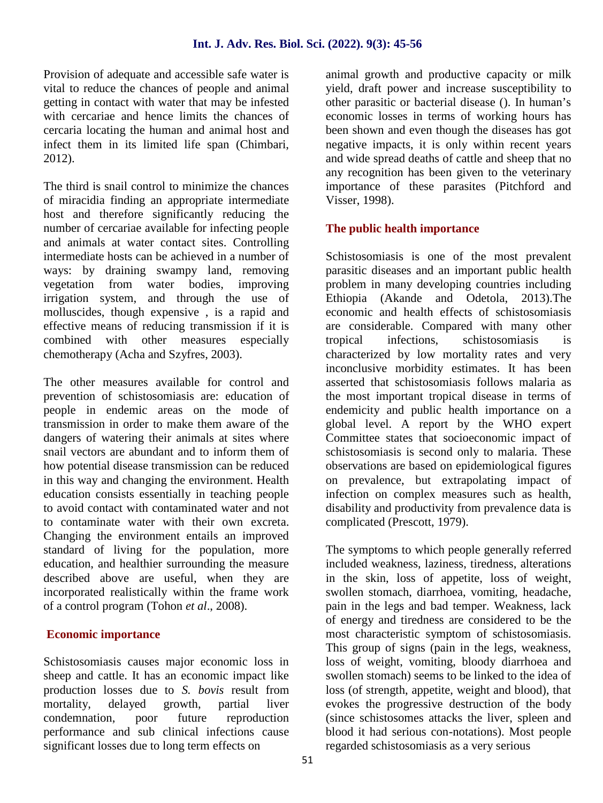Provision of adequate and accessible safe water is vital to reduce the chances of people and animal getting in contact with water that may be infested with cercariae and hence limits the chances of cercaria locating the human and animal host and infect them in its limited life span (Chimbari, 2012).

The third is snail control to minimize the chances of miracidia finding an appropriate intermediate host and therefore significantly reducing the number of cercariae available for infecting people and animals at water contact sites. Controlling intermediate hosts can be achieved in a number of ways: by draining swampy land, removing vegetation from water bodies, improving irrigation system, and through the use of molluscides, though expensive , is a rapid and effective means of reducing transmission if it is combined with other measures especially chemotherapy (Acha and Szyfres, 2003).

The other measures available for control and prevention of schistosomiasis are: education of people in endemic areas on the mode of transmission in order to make them aware of the dangers of watering their animals at sites where snail vectors are abundant and to inform them of how potential disease transmission can be reduced in this way and changing the environment. Health education consists essentially in teaching people to avoid contact with contaminated water and not to contaminate water with their own excreta. Changing the environment entails an improved standard of living for the population, more education, and healthier surrounding the measure described above are useful, when they are incorporated realistically within the frame work of a control program (Tohon *et al*., 2008).

#### **Economic importance**

Schistosomiasis causes major economic loss in sheep and cattle. It has an economic impact like production losses due to *S. bovis* result from mortality, delayed growth, partial liver condemnation, poor future reproduction performance and sub clinical infections cause significant losses due to long term effects on

animal growth and productive capacity or milk yield, draft power and increase susceptibility to other parasitic or bacterial disease (). In human's economic losses in terms of working hours has been shown and even though the diseases has got negative impacts, it is only within recent years and wide spread deaths of cattle and sheep that no any recognition has been given to the veterinary importance of these parasites (Pitchford and Visser, 1998).

### **The public health importance**

Schistosomiasis is one of the most prevalent parasitic diseases and an important public health problem in many developing countries including Ethiopia (Akande and Odetola, 2013).The economic and health effects of schistosomiasis are considerable. Compared with many other infections, schistosomiasis is characterized by low mortality rates and very inconclusive morbidity estimates. It has been asserted that schistosomiasis follows malaria as the most important tropical disease in terms of endemicity and public health importance on a global level. A report by the WHO expert Committee states that socioeconomic impact of schistosomiasis is second only to malaria. These observations are based on epidemiological figures on prevalence, but extrapolating impact of infection on complex measures such as health, disability and productivity from prevalence data is complicated (Prescott, 1979).

The symptoms to which people generally referred included weakness, laziness, tiredness, alterations in the skin, loss of appetite, loss of weight, swollen stomach, diarrhoea, vomiting, headache, pain in the legs and bad temper. Weakness, lack of energy and tiredness are considered to be the most characteristic symptom of schistosomiasis. This group of signs (pain in the legs, weakness, loss of weight, vomiting, bloody diarrhoea and swollen stomach) seems to be linked to the idea of loss (of strength, appetite, weight and blood), that evokes the progressive destruction of the body (since schistosomes attacks the liver, spleen and blood it had serious con-notations). Most people regarded schistosomiasis as a very serious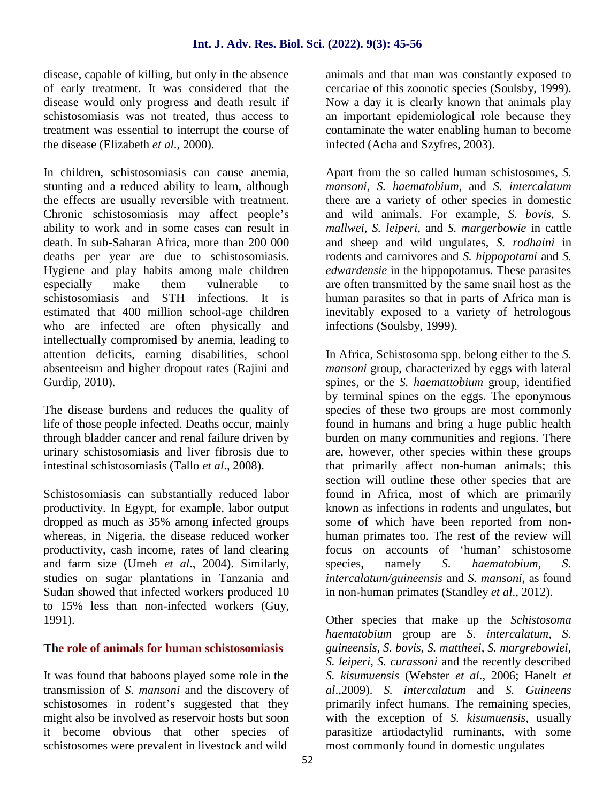disease, capable of killing, but only in the absence of early treatment. It was considered that the disease would only progress and death result if schistosomiasis was not treated, thus access to treatment was essential to interrupt the course of the disease (Elizabeth *et al*., 2000).

In children, schistosomiasis can cause anemia, stunting and a reduced ability to learn, although the effects are usually reversible with treatment. Chronic schistosomiasis may affect people's ability to work and in some cases can result in death. In sub-Saharan Africa, more than 200 000 deaths per year are due to schistosomiasis. Hygiene and play habits among male children especially make them vulnerable to schistosomiasis and STH infections. It is estimated that 400 million school-age children who are infected are often physically and intellectually compromised by anemia, leading to attention deficits, earning disabilities, school absenteeism and higher dropout rates (Rajini and Gurdip, 2010).

The disease burdens and reduces the quality of life of those people infected. Deaths occur, mainly through bladder cancer and renal failure driven by urinary schistosomiasis and liver fibrosis due to intestinal schistosomiasis (Tallo *et al*., 2008).

Schistosomiasis can substantially reduced labor productivity. In Egypt, for example, labor output dropped as much as 35% among infected groups whereas, in Nigeria, the disease reduced worker productivity, cash income, rates of land clearing and farm size (Umeh *et al*., 2004). Similarly, studies on sugar plantations in Tanzania and Sudan showed that infected workers produced 10 to 15% less than non-infected workers (Guy, 1991).

#### **The role of animals for human schistosomiasis**

It was found that baboons played some role in the transmission of *S. mansoni* and the discovery of schistosomes in rodent's suggested that they might also be involved as reservoir hosts but soon it become obvious that other species of schistosomes were prevalent in livestock and wild

animals and that man was constantly exposed to cercariae of this zoonotic species (Soulsby, 1999). Now a day it is clearly known that animals play an important epidemiological role because they contaminate the water enabling human to become infected (Acha and Szyfres, 2003).

Apart from the so called human schistosomes, *S. mansoni*, *S. haematobium*, and *S. intercalatum* there are a variety of other species in domestic and wild animals. For example, *S. bovis, S. mallwei, S. leiperi,* and *S. margerbowie* in cattle and sheep and wild ungulates, *S. rodhaini* in rodents and carnivores and *S. hippopotami* and *S. edwardensie* in the hippopotamus. These parasites are often transmitted by the same snail host as the human parasites so that in parts of Africa man is inevitably exposed to a variety of hetrologous infections (Soulsby, 1999).

In Africa, Schistosoma spp. belong either to the *S. mansoni* group, characterized by eggs with lateral spines, or the *S. haemattobium* group, identified by terminal spines on the eggs. The eponymous species of these two groups are most commonly found in humans and bring a huge public health burden on many communities and regions. There are, however, other species within these groups that primarily affect non-human animals; this section will outline these other species that are found in Africa, most of which are primarily known as infections in rodents and ungulates, but some of which have been reported from non human primates too. The rest of the review will focus on accounts of 'human' schistosome species, namely *S. haematobium, S. intercalatum/guineensis* and *S. mansoni*, as found in non-human primates (Standley *et al*., 2012).

Other species that make up the *Schistosoma haematobium* group are *S. intercalatum, S. guineensis, S. bovis, S. mattheei, S. margrebowiei, S. leiperi, S. curassoni* and the recently described *S. kisumuensis* (Webster *et al*., 2006; Hanelt *et al*.,2009). *S. intercalatum* and *S. Guineens* primarily infect humans. The remaining species, with the exception of *S. kisumuensis*, usually parasitize artiodactylid ruminants, with some most commonly found in domestic ungulates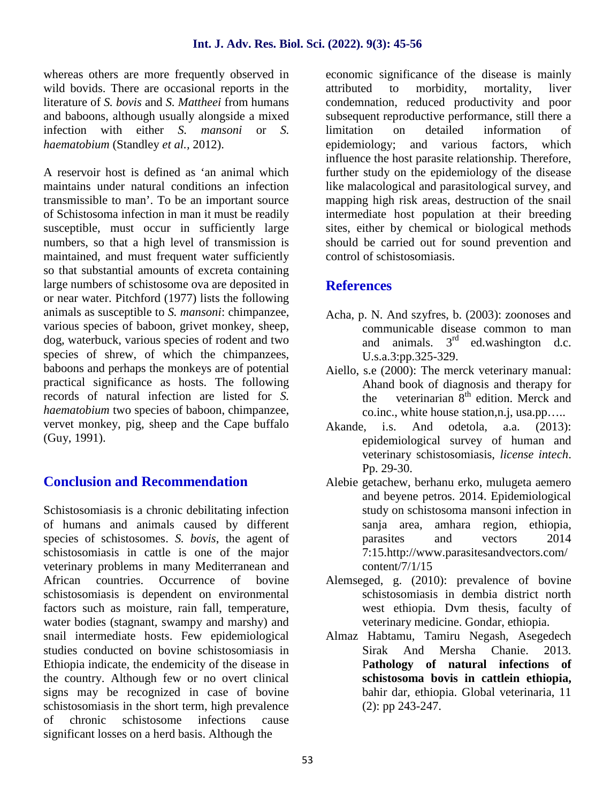whereas others are more frequently observed in wild bovids. There are occasional reports in the attributed literature of *S. bovis* and *S. Mattheei* from humans and baboons, although usually alongside a mixed infection with either *S. mansoni* or *S. haematobium* (Standley *et al.,* 2012).

A reservoir host is defined as 'an animal which maintains under natural conditions an infection transmissible to man'. To be an important source of Schistosoma infection in man it must be readily susceptible, must occur in sufficiently large numbers, so that a high level of transmission is maintained, and must frequent water sufficiently so that substantial amounts of excreta containing large numbers of schistosome ova are deposited in or near water. Pitchford (1977) lists the following animals as susceptible to *S. mansoni*: chimpanzee, various species of baboon, grivet monkey, sheep, dog, waterbuck, various species of rodent and two species of shrew, of which the chimpanzees, baboons and perhaps the monkeys are of potential practical significance as hosts. The following records of natural infection are listed for *S. haematobium* two species of baboon, chimpanzee, vervet monkey, pig, sheep and the Cape buffalo Akande, i.s. (Guy, 1991).

# **Conclusion and Recommendation**

Schistosomiasis is a chronic debilitating infection of humans and animals caused by different species of schistosomes. *S. bovis*, the agent of schistosomiasis in cattle is one of the major veterinary problems in many Mediterranean and African countries. Occurrence of bovine schistosomiasis is dependent on environmental factors such as moisture, rain fall, temperature, water bodies (stagnant, swampy and marshy) and snail intermediate hosts. Few epidemiological studies conducted on bovine schistosomiasis in Ethiopia indicate, the endemicity of the disease in the country. Although few or no overt clinical signs may be recognized in case of bovine schistosomiasis in the short term, high prevalence of chronic schistosome infections cause significant losses on a herd basis. Although the

economic significance of the disease is mainly to morbidity, mortality, liver condemnation, reduced productivity and poor subsequent reproductive performance, still there a limitation on detailed information of epidemiology; and various factors, which influence the host parasite relationship. Therefore, further study on the epidemiology of the disease like malacological and parasitological survey, and mapping high risk areas, destruction of the snail intermediate host population at their breeding sites, either by chemical or biological methods should be carried out for sound prevention and control of schistosomiasis.

# **References**

- Acha, p. N. And szyfres, b. (2003): zoonoses and communicable disease common to man and animals.  $3<sup>rd</sup>$  ed.washington d.c. U.s.a.3:pp.325-329.
- Aiello, s.e (2000): The merck veterinary manual: Ahand book of diagnosis and therapy for the veterinarian  $8<sup>th</sup>$  edition. Merck and co.inc., white house station,n.j, usa.pp…..
- And odetola, a.a.  $(2013)$ : epidemiological survey of human and veterinary schistosomiasis, *license intech*. Pp. 29-30.
- Alebie getachew, berhanu erko, mulugeta aemero and beyene petros. 2014. Epidemiological study on schistosoma mansoni infection in sanja area, amhara region, ethiopia, parasites and vectors 2014 7:15.http://www.parasitesandvectors.com/ content/7/1/15
- Alemseged, g. (2010): prevalence of bovine schistosomiasis in dembia district north west ethiopia. Dvm thesis, faculty of veterinary medicine. Gondar, ethiopia.
- Almaz Habtamu, Tamiru Negash, Asegedech Sirak And Mersha Chanie. 2013. P**athology of natural infections of schistosoma bovis in cattlein ethiopia,** bahir dar, ethiopia. Global veterinaria, 11 (2): pp 243-247.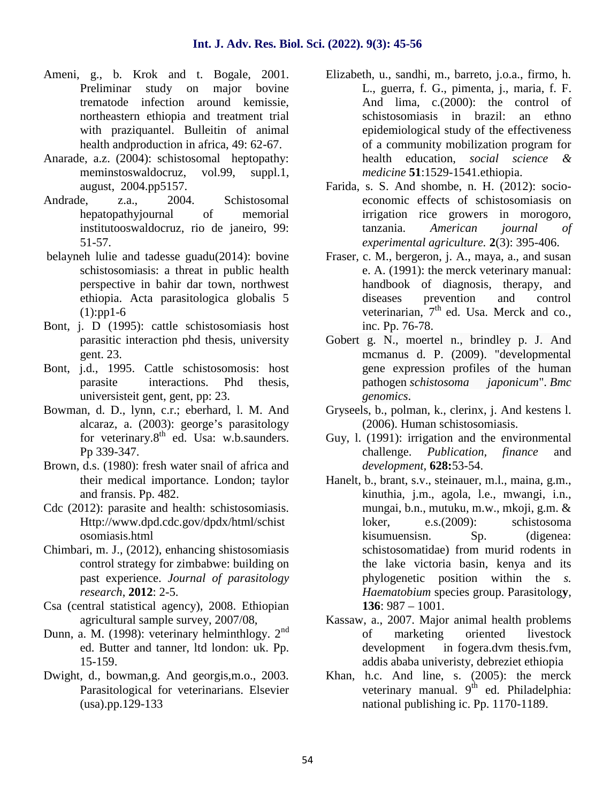- Ameni, g., b. Krok and t. Bogale, 2001. Preliminar study on major bovine trematode infection around kemissie, northeastern ethiopia and treatment trial with praziquantel. Bulleitin of animal health andproduction in africa, 49: 62-67.
- Anarade, a.z. (2004): schistosomal heptopathy: meminstoswaldocruz, vol.99, suppl.1, august, 2004.pp5157.
- Andrade, z.a., 2004. Schistosomal hepatopathyjournal of memorial institutooswaldocruz, rio de janeiro, 99: 51-57.
- belayneh lulie and tadesse guadu(2014): bovine schistosomiasis: a threat in public health perspective in bahir dar town, northwest ethiopia. Acta parasitologica globalis 5  $(1):pp1-6$
- Bont, j. D (1995): cattle schistosomiasis host parasitic interaction phd thesis, university gent. 23.
- Bont, j.d., 1995. Cattle schistosomosis: host parasite interactions. Phd thesis, universisteit gent, gent, pp: 23.
- Bowman, d. D., lynn, c.r.; eberhard, l. M. And alcaraz, a. (2003): george's parasitology for veterinary.8<sup>th</sup> ed. Usa: w.b.saunders. Pp 339-347.
- Brown, d.s. (1980): fresh water snail of africa and their medical importance. London; taylor and fransis. Pp. 482.
- Cdc (2012): parasite and health: schistosomiasis. Http://www.dpd.cdc.gov/dpdx/html/schist osomiasis.html
- Chimbari, m. J., (2012), enhancing shistosomiasis control strategy for zimbabwe: building on past experience. *Journal of parasitology research*, **2012**: 2-5.
- Csa (central statistical agency), 2008. Ethiopian agricultural sample survey, 2007/08,
- Dunn, a. M. (1998): veterinary helminthlogy.  $2<sup>nd</sup>$ ed. Butter and tanner, ltd london: uk. Pp. 15-159.
- Dwight, d., bowman,g. And georgis,m.o., 2003. Parasitological for veterinarians. Elsevier (usa).pp.129-133
- Elizabeth, u., sandhi, m., barreto, j.o.a., firmo, h. L., guerra, f. G., pimenta, j., maria, f. F. And lima, c.(2000): the control of schistosomiasis in brazil: an ethno epidemiological study of the effectiveness of a community mobilization program for health education, *social science & medicine* **51**:1529-1541.ethiopia.
- Farida, s. S. And shombe, n. H. (2012): socio economic effects of schistosomiasis on irrigation rice growers in morogoro, tanzania. *American journal of experimental agriculture.* **2**(3): 395-406.
- Fraser, c. M., bergeron, j. A., maya, a., and susan e. A. (1991): the merck veterinary manual: handbook of diagnosis, therapy, and diseases prevention and control veterinarian,  $7<sup>th</sup>$  ed. Usa. Merck and co., inc. Pp. 76-78.
- Gobert g. N., moertel n., brindley p. J. And mcmanus d. P. (2009). "developmental gene expression profiles of the human pathogen *schistosoma japonicum*". *Bmc genomics*.
- Gryseels, b., polman, k., clerinx, j. And kestens l. (2006). Human schistosomiasis.
- Guy, l. (1991): irrigation and the environmental challenge. *Publication, finance* and *development,* **628:**53-54.
- Hanelt, b., brant, s.v., steinauer, m.l., maina, g.m., kinuthia, j.m., agola, l.e., mwangi, i.n., mungai, b.n., mutuku, m.w., mkoji, g.m. & loker, e.s.(2009): schistosoma kisumuensisn. Sp. (digenea: schistosomatidae) from murid rodents in the lake victoria basin, kenya and its phylogenetic position within the *s. Haematobium* species group. Parasitolog**y**, **136**: 987 – 1001.
- Kassaw, a., 2007. Major animal health problems of marketing oriented livestock development in fogera.dvm thesis.fvm, addis ababa univeristy, debreziet ethiopia
- Khan, h.c. And line, s. (2005): the merck veterinary manual.  $9<sup>th</sup>$  ed. Philadelphia: national publishing ic. Pp. 1170-1189.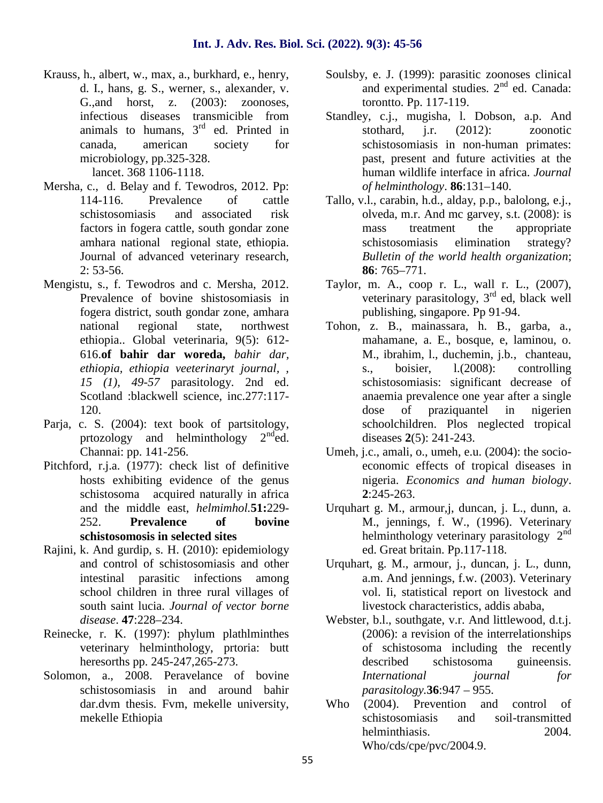Krauss, h., albert, w., max, a., burkhard, e., henry, d. I., hans, g. S., werner, s., alexander, v. G.,and horst, z. (2003): zoonoses, infectious diseases transmicible from animals to humans,  $3<sup>rd</sup>$  ed. Printed in canada, american society for microbiology, pp.325-328.

lancet. 368 1106-1118.

- Mersha, c., d. Belay and f. Tewodros, 2012. Pp: 114-116. Prevalence of cattle schistosomiasis and associated risk factors in fogera cattle, south gondar zone amhara national regional state, ethiopia. Journal of advanced veterinary research, 2: 53-56.
- Mengistu, s., f. Tewodros and c. Mersha, 2012. Prevalence of bovine shistosomiasis in fogera district, south gondar zone, amhara national regional state, northwest ethiopia.. Global veterinaria, 9(5): 612- 616.**of bahir dar woreda,** *bahir dar, ethiopia, ethiopia veeterinaryt journal, , 15 (1), 49-57* parasitology. 2nd ed. Scotland :blackwell science, inc.277:117- 120.
- Parja, c. S. (2004): text book of partsitology, prtozology and helminthology  $2<sup>nd</sup>$ ed. Channai: pp. 141-256.
- Pitchford, r.j.a. (1977): check list of definitive hosts exhibiting evidence of the genus schistosoma acquired naturally in africa and the middle east, *helmimhol.***51:**229- 252. **Prevalence of bovine schistosomosis in selected sites**
- Rajini, k. And gurdip, s. H. (2010): epidemiology and control of schistosomiasis and other intestinal parasitic infections among school children in three rural villages of south saint lucia. *Journal of vector borne disease*. **47**:228–234.
- Reinecke, r. K. (1997): phylum plathlminthes veterinary helminthology, prtoria: butt heresorths pp. 245-247,265-273.
- Solomon, a., 2008. Peravelance of bovine schistosomiasis in and around bahir dar.dvm thesis. Fvm, mekelle university, mekelle Ethiopia
- Soulsby, e. J. (1999): parasitic zoonoses clinical and experimental studies.  $2<sup>nd</sup>$  ed. Canada: torontto. Pp. 117-119.
- Standley, c.j., mugisha, l. Dobson, a.p. And stothard, j.r. (2012): zoonotic schistosomiasis in non-human primates: past, present and future activities at the human wildlife interface in africa. *Journal of helminthology*. **86**:131–140.
- Tallo, v.l., carabin, h.d., alday, p.p., balolong, e.j., olveda, m.r. And mc garvey, s.t. (2008): is mass treatment the appropriate schistosomiasis elimination strategy? *Bulletin of the world health organization*; **86**: 765–771.
- Taylor, m. A., coop r. L., wall r. L., (2007), veterinary parasitology,  $3<sup>rd</sup>$  ed, black well publishing, singapore. Pp 91-94.
- Tohon, z. B., mainassara, h. B., garba, a., mahamane, a. E., bosque, e, laminou, o. M., ibrahim, l., duchemin, j.b., chanteau, s., boisier, l.(2008): controlling schistosomiasis: significant decrease of anaemia prevalence one year after a single dose of praziquantel in nigerien schoolchildren. Plos neglected tropical diseases **2**(5): 241-243.
- Umeh, j.c., amali, o., umeh, e.u. (2004): the socio economic effects of tropical diseases in nigeria. *Economics and human biology*. **2**:245-263.
- Urquhart g. M., armour,j, duncan, j. L., dunn, a. M., jennings, f. W., (1996). Veterinary helminthology veterinary parasitology  $2<sup>nd</sup>$ ed. Great britain. Pp.117-118.
- Urquhart, g. M., armour, j., duncan, j. L., dunn, a.m. And jennings, f.w. (2003). Veterinary vol. Ii, statistical report on livestock and livestock characteristics, addis ababa,
- Webster, b.l., southgate, v.r. And littlewood, d.t.j. (2006): a revision of the interrelationships of schistosoma including the recently described schistosoma guineensis. *International journal for parasitology.***36**:947 – 955.
- Who (2004). Prevention and control of schistosomiasis and soil-transmitted helminthiasis. 2004. Who/cds/cpe/pvc/2004.9.